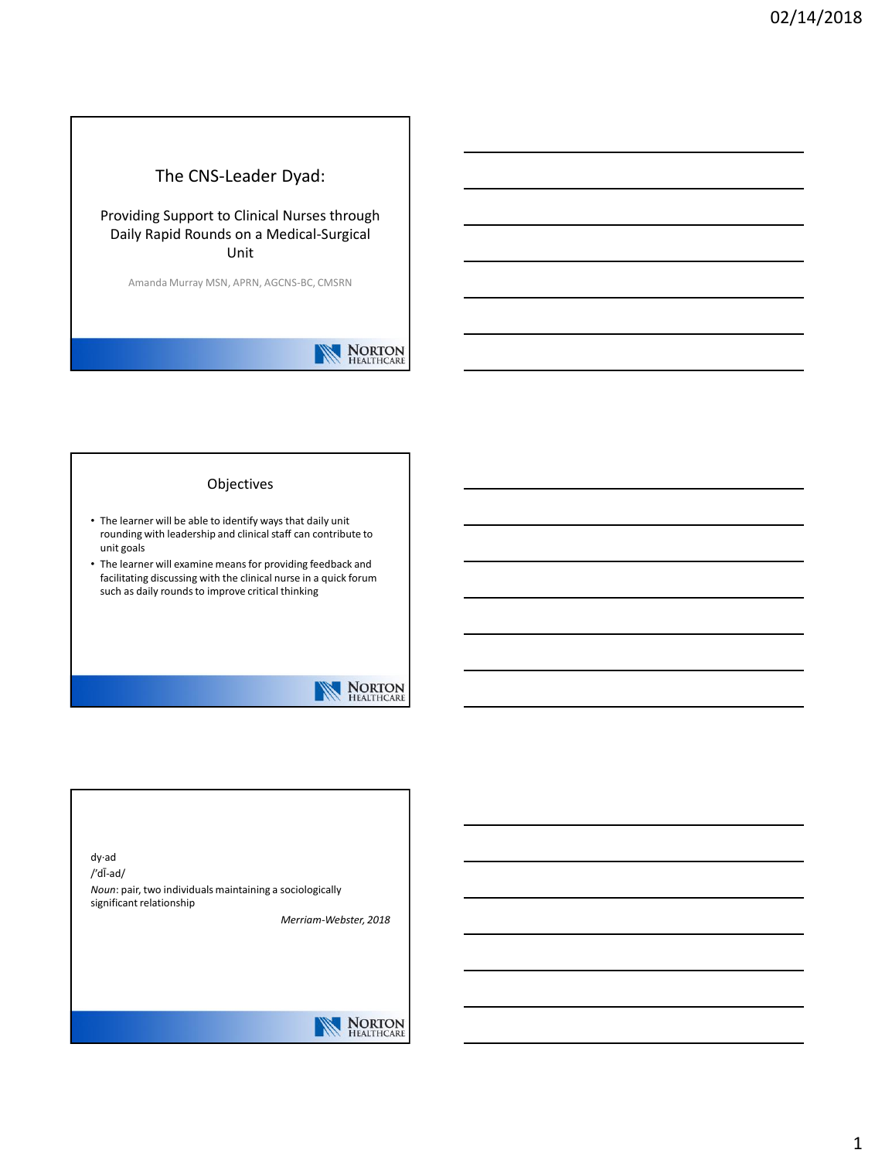## The CNS-Leader Dyad:

### Providing Support to Clinical Nurses through Daily Rapid Rounds on a Medical-Surgical Unit

Amanda Murray MSN, APRN, AGCNS-BC, CMSRN

## NORTON<br>HEALTHCARE

#### Objectives

- The learner will be able to identify ways that daily unit rounding with leadership and clinical staff can contribute to unit goals
- The learner will examine means for providing feedback and facilitating discussing with the clinical nurse in a quick forum such as daily rounds to improve critical thinking



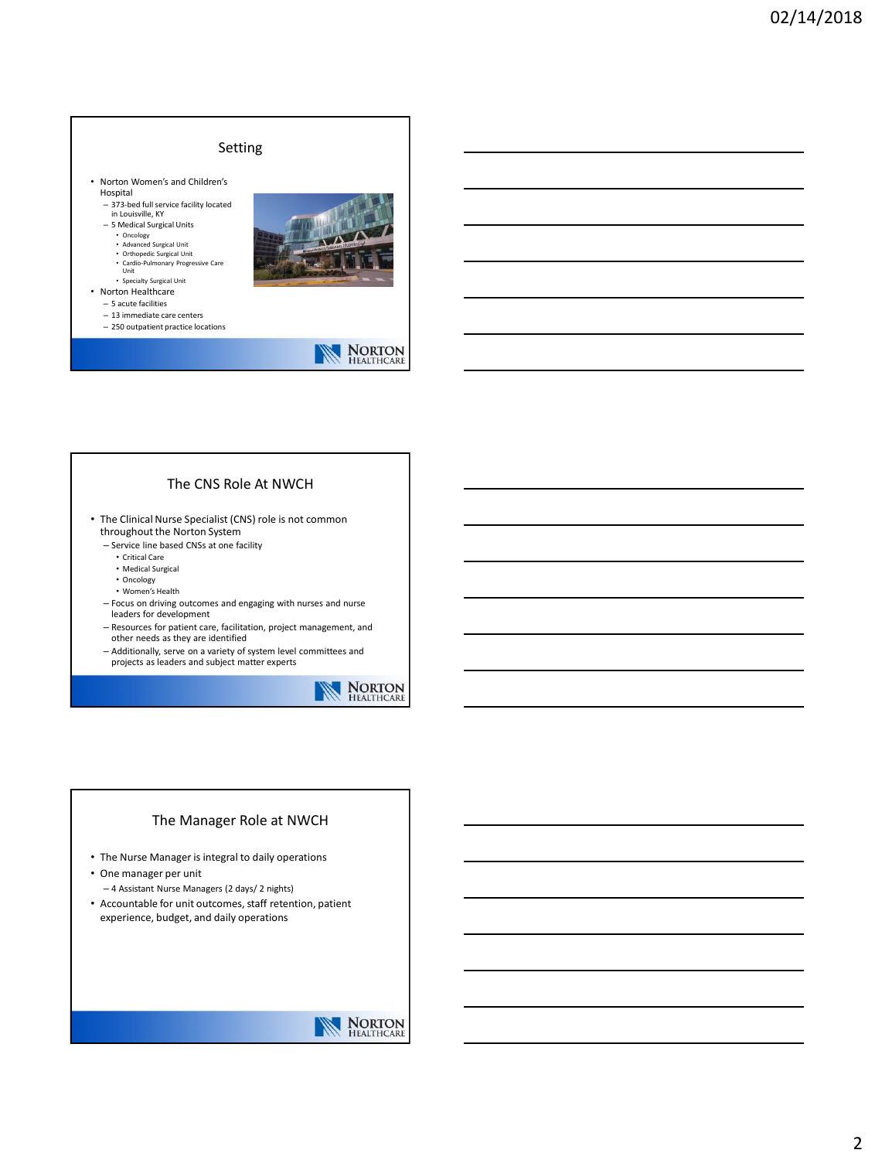### Setting

- Norton Women's and Children's Hospital
	- 373-bed full service facility located in Louisville, KY
	- 5 Medical Surgical Units
	- Oncology Advanced Surgical Unit
	-
	- Orthopedic Surgical Unit Cardio-Pulmonary Progressive Care Unit
	- Specialty Surgical Unit
- Norton Healthcare
- 5 acute facilities
- 13 immediate care centers
- 250 outpatient practice locations



# NORTON<br>HEALTHCARE

#### The CNS Role At NWCH

- The Clinical Nurse Specialist (CNS) role is not common throughout the Norton System
	- Service line based CNSs at one facility
		- Critical Care
		- Medical Surgical
		- Oncology
		- Women's Health
	- Focus on driving outcomes and engaging with nurses and nurse leaders for development
	- Resources for patient care, facilitation, project management, and other needs as they are identified
	- Additionally, serve on a variety of system level committees and projects as leaders and subject matter experts



#### The Manager Role at NWCH

- The Nurse Manager is integral to daily operations
- One manager per unit
- 4 Assistant Nurse Managers (2 days/ 2 nights) • Accountable for unit outcomes, staff retention, patient
- experience, budget, and daily operations

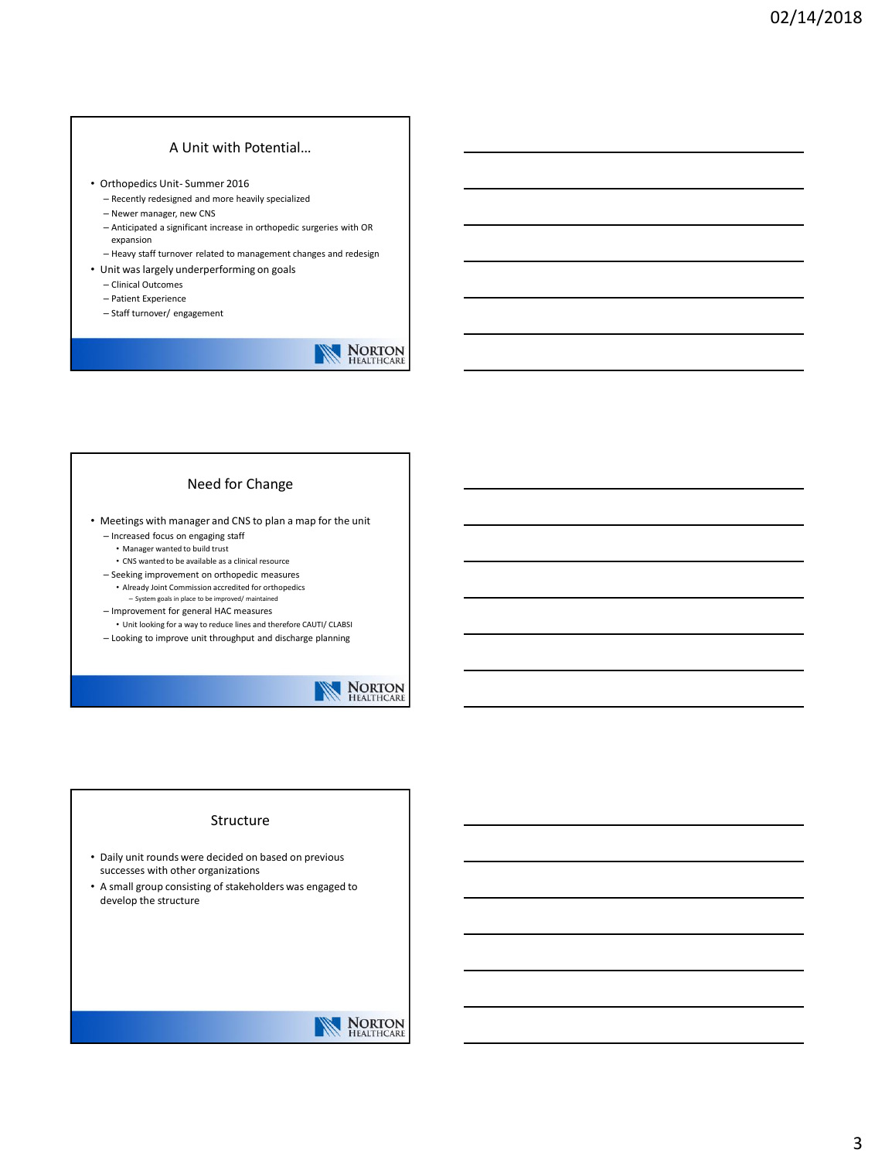### A Unit with Potential…

- Orthopedics Unit- Summer 2016
	- Recently redesigned and more heavily specialized
	- Newer manager, new CNS
	- Anticipated a significant increase in orthopedic surgeries with OR expansion
	- Heavy staff turnover related to management changes and redesign
- Unit was largely underperforming on goals
	- Clinical Outcomes
	- Patient Experience
	- Staff turnover/ engagement

# NORTON HEALTHCARE

#### Need for Change

• Meetings with manager and CNS to plan a map for the unit

- Increased focus on engaging staff
- Manager wanted to build trust
- CNS wanted to be available as a clinical resource
- Seeking improvement on orthopedic measures • Already Joint Commission accredited for orthopedics
- System goals in place to be improved/ maintained – Improvement for general HAC measures
- Unit looking for a way to reduce lines and therefore CAUTI/ CLABSI
- Looking to improve unit throughput and discharge planning



#### Structure

- Daily unit rounds were decided on based on previous successes with other organizations
- A small group consisting of stakeholders was engaged to develop the structure

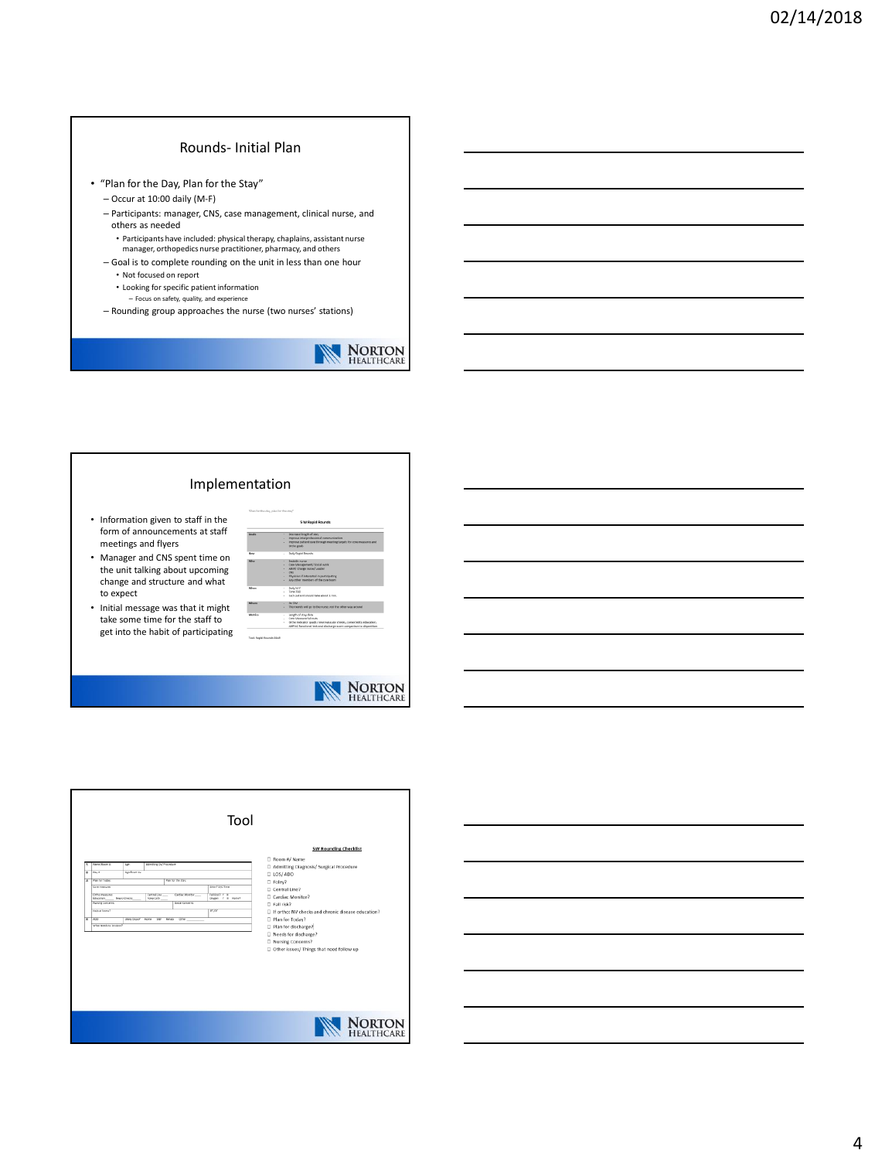#### Rounds- Initial Plan

- "Plan for the Day, Plan for the Stay"
	- Occur at 10:00 daily (M-F)
	- Participants: manager, CNS, case management, clinical nurse, and others as needed
		- Participants have included: physical therapy, chaplains, assistant nurse
	- manager, orthopedics nurse practitioner, pharmacy, and others – Goal is to complete rounding on the unit in less than one hour
		- Not focused on report
	- Looking for specific patient information
		- Focus on safety, quality, and experience
	- Rounding group approaches the nurse (two nurses' stations)

# **NORTON**<br>HEALTHCARE

#### Implementation

- Information given to staff in the form of announcements at staff meetings and flyers
- Manager and CNS spent time on the unit talking about upcoming change and structure and what to expect
- Initial message was that it might take some time for the staff to get into the habit of participating





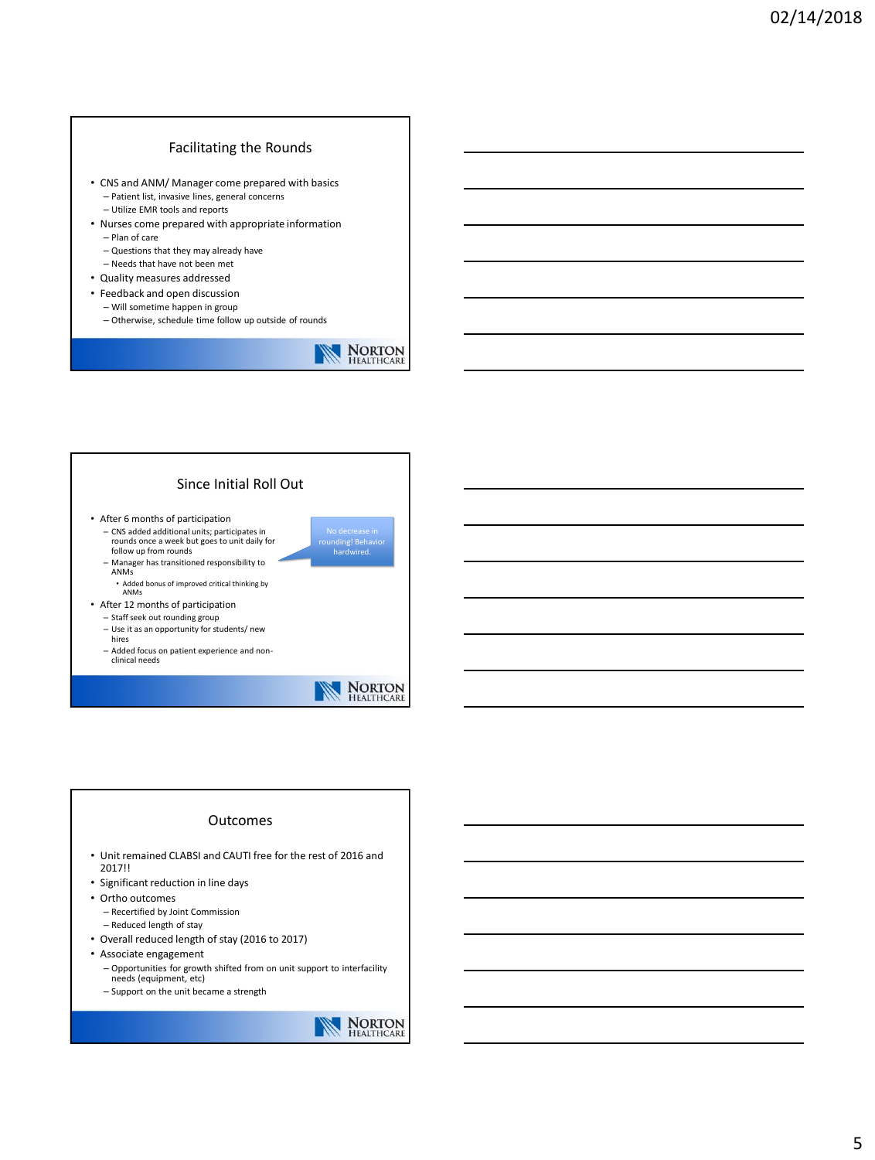### Facilitating the Rounds

- CNS and ANM/ Manager come prepared with basics – Patient list, invasive lines, general concerns – Utilize EMR tools and reports
- Nurses come prepared with appropriate information – Plan of care
	- Questions that they may already have
- Needs that have not been met
- Quality measures addressed
- Feedback and open discussion – Will sometime happen in group
	- Otherwise, schedule time follow up outside of rounds



#### Since Initial Roll Out

- After 6 months of participation – CNS added additional units; participates in rounds once a week but goes to unit daily for follow up from rounds
	- Manager has transitioned responsibility to ANMs
	- Added bonus of improved critical thinking by ANMs
- After 12 months of participation
	- Staff seek out rounding group – Use it as an opportunity for students/ new
	- hires
	- Added focus on patient experience and nonclinical needs



No decrease in rounding! Behavior hardwired.

#### Outcomes

- Unit remained CLABSI and CAUTI free for the rest of 2016 and 2017!!
- Significant reduction in line days
- Ortho outcomes – Recertified by Joint Commission
	- Reduced length of stay
- Overall reduced length of stay (2016 to 2017)
- Associate engagement
	- Opportunities for growth shifted from on unit support to interfacility needs (equipment, etc)
	- Support on the unit became a strength